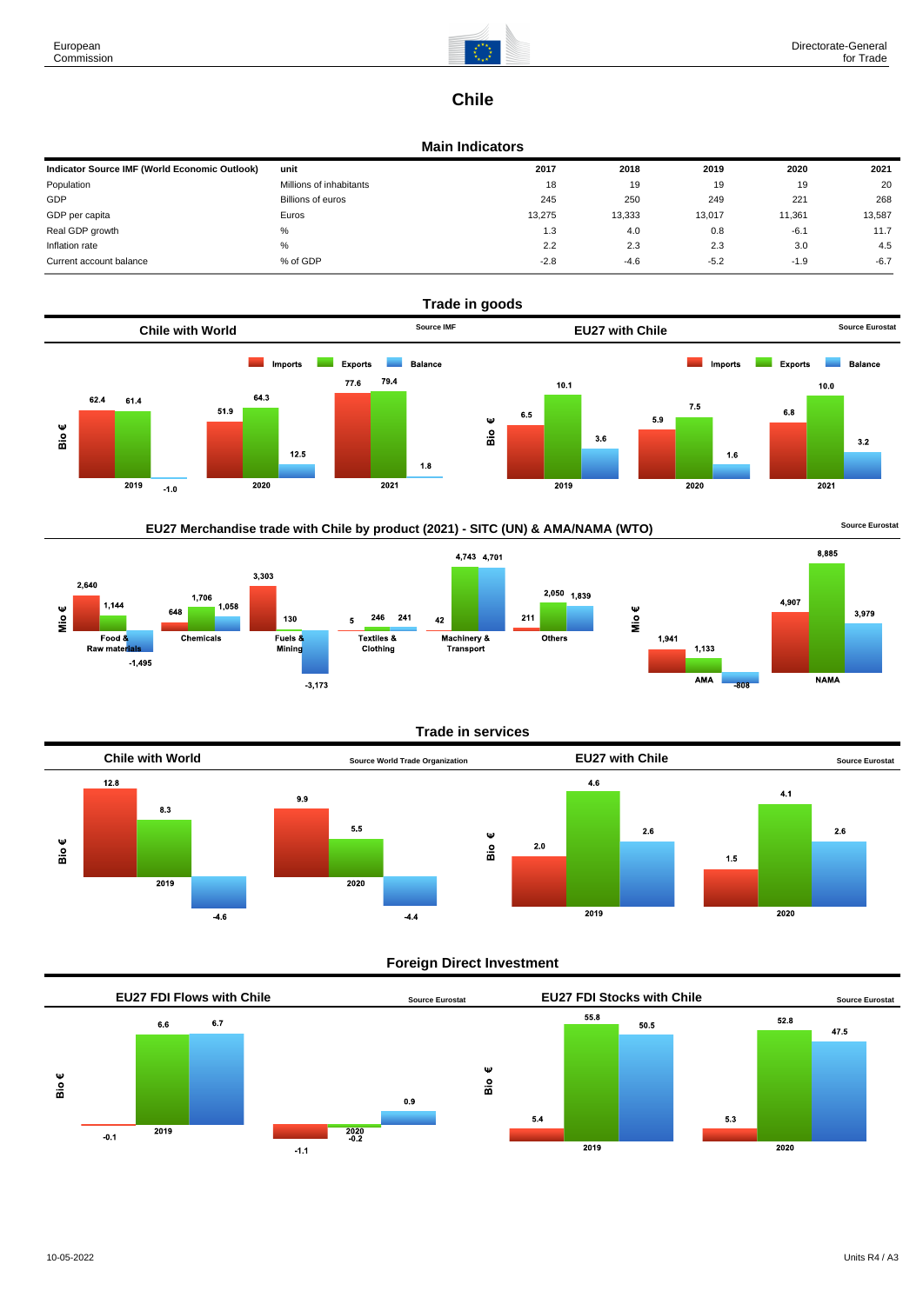

# **Chile**

### **Main Indicators**

| Indicator Source IMF (World Economic Outlook) | unit                     | 2017   | 2018   | 2019   | 2020   | 2021   |
|-----------------------------------------------|--------------------------|--------|--------|--------|--------|--------|
| Population                                    | Millions of inhabitants  | 18     | 19     | 19     | 19     | 20     |
| GDP                                           | <b>Billions of euros</b> | 245    | 250    | 249    | 221    | 268    |
| GDP per capita                                | Euros                    | 13,275 | 13,333 | 13,017 | 11,361 | 13,587 |
| Real GDP growth                               | %                        | 1.3    | 4.0    | 0.8    | $-6.1$ | 11.7   |
| Inflation rate                                | %                        | 2.2    | 2.3    | 2.3    | 3.0    | 4.5    |
| Current account balance                       | % of GDP                 | $-2.8$ | $-4.6$ | $-5.2$ | $-1.9$ | $-6.7$ |



## EU27 Merchandise trade with Chile by product (2021) - SITC (UN) & AMA/NAMA (WTO) **Source Eurostat**





### **Trade in services**

 $2,050$  1,839

Others



### **Foreign Direct Investment**